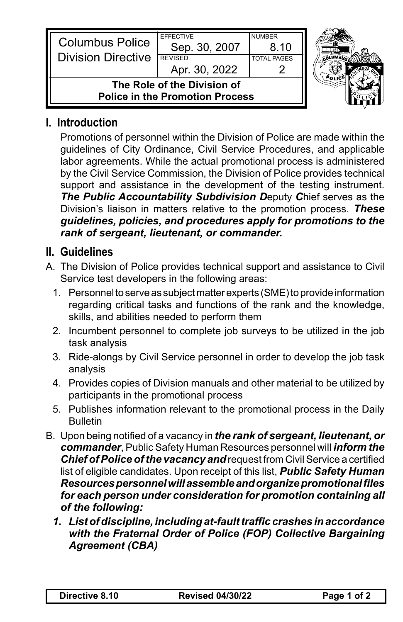| <b>Columbus Police</b><br><b>Division Directive</b>                   | <b>EFFECTIVE</b><br>Sep. 30, 2007<br><b>REVISED</b><br>Apr. 30, 2022 | <b>NUMBER</b><br>8.10<br><b>TOTAL PAGES</b> |  |
|-----------------------------------------------------------------------|----------------------------------------------------------------------|---------------------------------------------|--|
| The Role of the Division of<br><b>Police in the Promotion Process</b> |                                                                      |                                             |  |

## **I. Introduction**

Promotions of personnel within the Division of Police are made within the guidelines of City Ordinance, Civil Service Procedures, and applicable labor agreements. While the actual promotional process is administered by the Civil Service Commission, the Division of Police provides technical support and assistance in the development of the testing instrument. *The Public Accountability Subdivision D*eputy *C*hief serves as the Division's liaison in matters relative to the promotion process. *These guidelines, policies, and procedures apply for promotions to the rank of sergeant, lieutenant, or commander.*

## **II. Guidelines**

- A. The Division of Police provides technical support and assistance to Civil Service test developers in the following areas:
	- 1. Personnel to serve as subject matter experts (SME) to provide information regarding critical tasks and functions of the rank and the knowledge, skills, and abilities needed to perform them
	- 2. Incumbent personnel to complete job surveys to be utilized in the job task analysis
	- 3. Ride-alongs by Civil Service personnel in order to develop the job task analysis
	- 4. Provides copies of Division manuals and other material to be utilized by participants in the promotional process
	- 5. Publishes information relevant to the promotional process in the Daily Bulletin
- B. Upon being notified of a vacancy in *the rank of sergeant, lieutenant, or commander*, Public Safety Human Resources personnel will *inform the*  **Chief of Police of the vacancy and request from Civil Service a certified** list of eligible candidates. Upon receipt of this list, *Public Safety Human Resources personnel will assemble and organize promotional files for each person under consideration for promotion containing all of the following:*
	- *1. List of discipline, including at-fault traffic crashes in accordance with the Fraternal Order of Police (FOP) Collective Bargaining Agreement (CBA)*